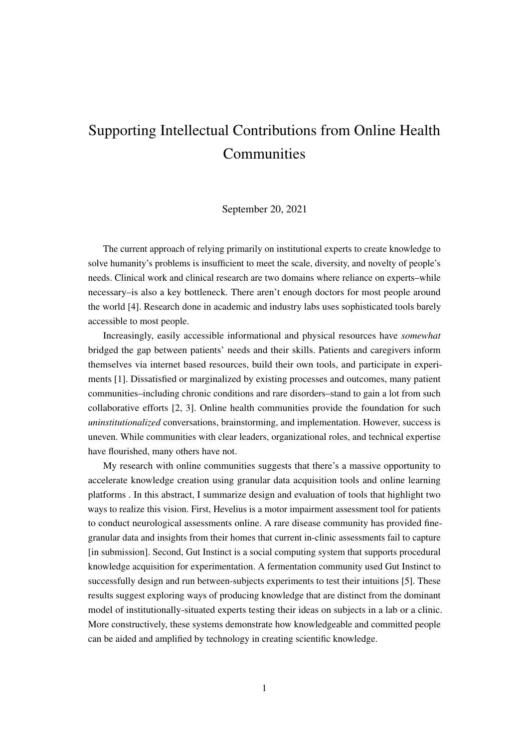## Supporting Intellectual Contributions from Online Health **Communities**

## September 20, 2021

The current approach of relying primarily on institutional experts to create knowledge to solve humanity's problems is insufficient to meet the scale, diversity, and novelty of people's needs. Clinical work and clinical research are two domains where reliance on experts–while necessary–is also a key bottleneck. There aren't enough doctors for most people around the world [\[4\]](#page-1-0). Research done in academic and industry labs uses sophisticated tools barely accessible to most people.

Increasingly, easily accessible informational and physical resources have *somewhat* bridged the gap between patients' needs and their skills. Patients and caregivers inform themselves via internet based resources, build their own tools, and participate in experiments [\[1\]](#page-1-1). Dissatisfied or marginalized by existing processes and outcomes, many patient communities–including chronic conditions and rare disorders–stand to gain a lot from such collaborative efforts [\[2,](#page-1-2) [3\]](#page-1-3). Online health communities provide the foundation for such *uninstitutionalized* conversations, brainstorming, and implementation. However, success is uneven. While communities with clear leaders, organizational roles, and technical expertise have flourished, many others have not.

My research with online communities suggests that there's a massive opportunity to accelerate knowledge creation using granular data acquisition tools and online learning platforms . In this abstract, I summarize design and evaluation of tools that highlight two ways to realize this vision. First, Hevelius is a motor impairment assessment tool for patients to conduct neurological assessments online. A rare disease community has provided finegranular data and insights from their homes that current in-clinic assessments fail to capture [in submission]. Second, Gut Instinct is a social computing system that supports procedural knowledge acquisition for experimentation. A fermentation community used Gut Instinct to successfully design and run between-subjects experiments to test their intuitions [\[5\]](#page-1-4). These results suggest exploring ways of producing knowledge that are distinct from the dominant model of institutionally-situated experts testing their ideas on subjects in a lab or a clinic. More constructively, these systems demonstrate how knowledgeable and committed people can be aided and amplified by technology in creating scientific knowledge.